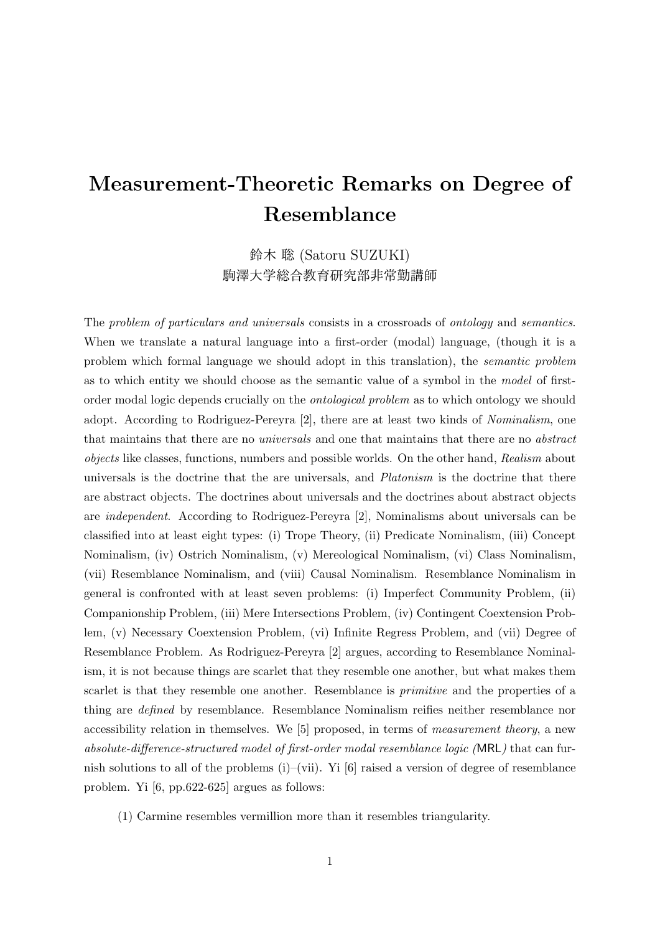## **Measurement-Theoretic Remarks on Degree of Resemblance**

鈴木 聡 (Satoru SUZUKI) 駒澤大学総合教育研究部非常勤講師

The *problem of particulars and universals* consists in a crossroads of *ontology* and *semantics*. When we translate a natural language into a first-order (modal) language, (though it is a problem which formal language we should adopt in this translation), the *semantic problem* as to which entity we should choose as the semantic value of a symbol in the *model* of firstorder modal logic depends crucially on the *ontological problem* as to which ontology we should adopt. According to Rodriguez-Pereyra [2], there are at least two kinds of *Nominalism*, one that maintains that there are no *universals* and one that maintains that there are no *abstract objects* like classes, functions, numbers and possible worlds. On the other hand, *Realism* about universals is the doctrine that the are universals, and *Platonism* is the doctrine that there are abstract objects. The doctrines about universals and the doctrines about abstract objects are *independent*. According to Rodriguez-Pereyra [2], Nominalisms about universals can be classified into at least eight types: (i) Trope Theory, (ii) Predicate Nominalism, (iii) Concept Nominalism, (iv) Ostrich Nominalism, (v) Mereological Nominalism, (vi) Class Nominalism, (vii) Resemblance Nominalism, and (viii) Causal Nominalism. Resemblance Nominalism in general is confronted with at least seven problems: (i) Imperfect Community Problem, (ii) Companionship Problem, (iii) Mere Intersections Problem, (iv) Contingent Coextension Problem, (v) Necessary Coextension Problem, (vi) Infinite Regress Problem, and (vii) Degree of Resemblance Problem. As Rodriguez-Pereyra [2] argues, according to Resemblance Nominalism, it is not because things are scarlet that they resemble one another, but what makes them scarlet is that they resemble one another. Resemblance is *primitive* and the properties of a thing are *defined* by resemblance. Resemblance Nominalism reifies neither resemblance nor accessibility relation in themselves. We [5] proposed, in terms of *measurement theory*, a new *absolute-difference-structured model of first-order modal resemblance logic (*MRL*)* that can furnish solutions to all of the problems (i)–(vii). Yi [6] raised a version of degree of resemblance problem. Yi [6, pp.622-625] argues as follows:

(1) Carmine resembles vermillion more than it resembles triangularity.